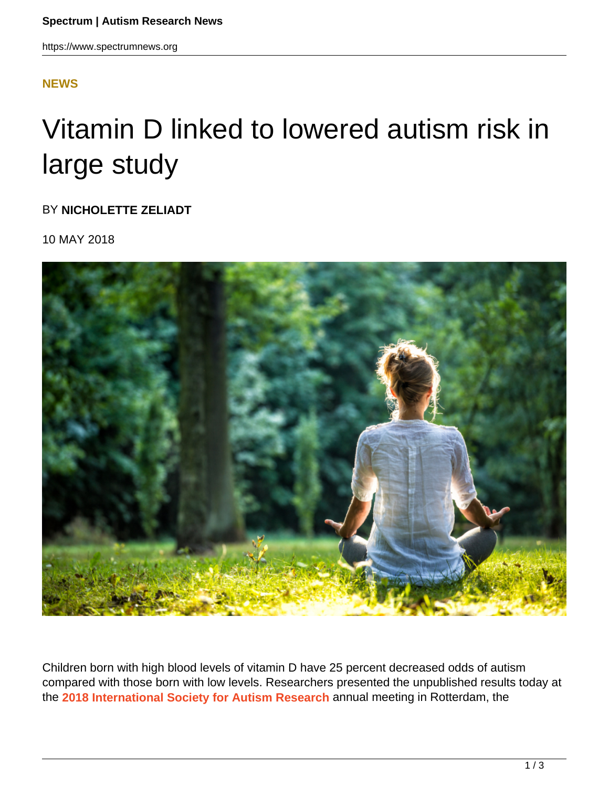## **[NEWS](HTTPS://WWW.SPECTRUMNEWS.ORG/NEWS/)**

## Vitamin D linked to lowered autism risk in large study

BY **NICHOLETTE ZELIADT**

10 MAY 2018



Children born with high blood levels of vitamin D have 25 percent decreased odds of autism compared with those born with low levels. Researchers presented the unpublished results today at the **2018 International Society for Autism Research** annual meeting in Rotterdam, the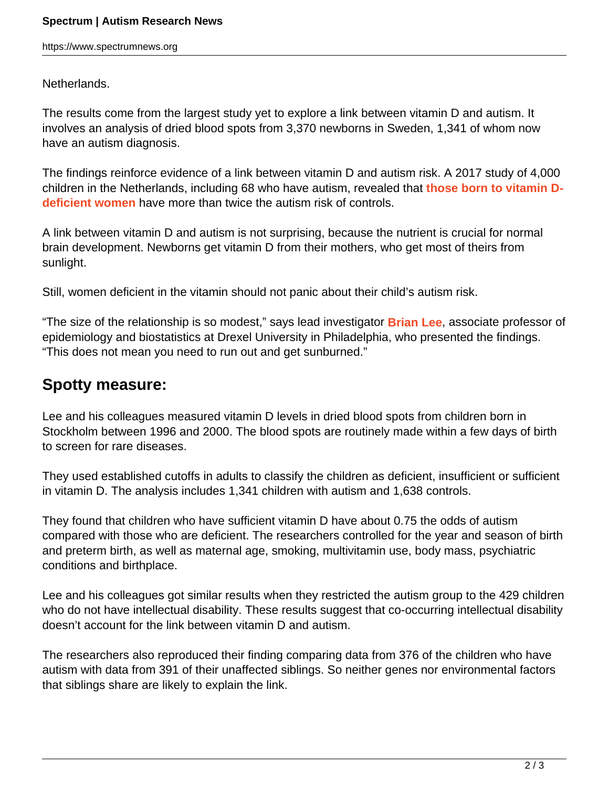https://www.spectrumnews.org

Netherlands.

The results come from the largest study yet to explore a link between vitamin D and autism. It involves an analysis of dried blood spots from 3,370 newborns in Sweden, 1,341 of whom now have an autism diagnosis.

The findings reinforce evidence of a link between vitamin D and autism risk. A 2017 study of 4,000 children in the Netherlands, including 68 who have autism, revealed that **those born to vitamin Ddeficient women** have more than twice the autism risk of controls.

A link between vitamin D and autism is not surprising, because the nutrient is crucial for normal brain development. Newborns get vitamin D from their mothers, who get most of theirs from sunlight.

Still, women deficient in the vitamin should not panic about their child's autism risk.

"The size of the relationship is so modest," says lead investigator **Brian Lee**, associate professor of epidemiology and biostatistics at Drexel University in Philadelphia, who presented the findings. "This does not mean you need to run out and get sunburned."

## **Spotty measure:**

Lee and his colleagues measured vitamin D levels in dried blood spots from children born in Stockholm between 1996 and 2000. The blood spots are routinely made within a few days of birth to screen for rare diseases.

They used established cutoffs in adults to classify the children as deficient, insufficient or sufficient in vitamin D. The analysis includes 1,341 children with autism and 1,638 controls.

They found that children who have sufficient vitamin D have about 0.75 the odds of autism compared with those who are deficient. The researchers controlled for the year and season of birth and preterm birth, as well as maternal age, smoking, multivitamin use, body mass, psychiatric conditions and birthplace.

Lee and his colleagues got similar results when they restricted the autism group to the 429 children who do not have intellectual disability. These results suggest that co-occurring intellectual disability doesn't account for the link between vitamin D and autism.

The researchers also reproduced their finding comparing data from 376 of the children who have autism with data from 391 of their unaffected siblings. So neither genes nor environmental factors that siblings share are likely to explain the link.